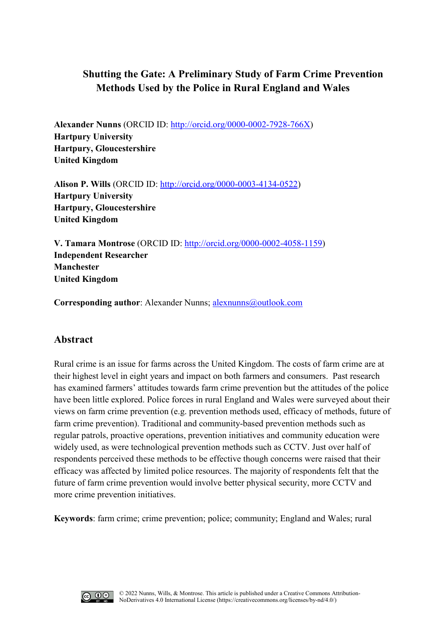# **Shutting the Gate: A Preliminary Study of Farm Crime Prevention Methods Used by the Police in Rural England and Wales**

**Alexander Nunns** (ORCID ID: [http://orcid.org/0000-0002-7928-766X\)](http://orcid.org/0000-0002-7928-766X) **Hartpury University Hartpury, Gloucestershire United Kingdom**

**Alison P. Wills** (ORCID ID: [http://orcid.org/0000-0003-4134-0522\)](http://orcid.org/0000-0003-4134-0522) **Hartpury University Hartpury, Gloucestershire United Kingdom**

**V. Tamara Montrose** (ORCID ID: [http://orcid.org/0000-0002-4058-1159\)](http://orcid.org/0000-0002-4058-1159) **Independent Researcher Manchester United Kingdom**

**Corresponding author:** Alexander Nunns; [alexnunns@outlook.com](mailto:alexnunns@outlook.com)

## **Abstract**

Rural crime is an issue for farms across the United Kingdom. The costs of farm crime are at their highest level in eight years and impact on both farmers and consumers. Past research has examined farmers' attitudes towards farm crime prevention but the attitudes of the police have been little explored. Police forces in rural England and Wales were surveyed about their views on farm crime prevention (e.g. prevention methods used, efficacy of methods, future of farm crime prevention). Traditional and community-based prevention methods such as regular patrols, proactive operations, prevention initiatives and community education were widely used, as were technological prevention methods such as CCTV. Just over half of respondents perceived these methods to be effective though concerns were raised that their efficacy was affected by limited police resources. The majority of respondents felt that the future of farm crime prevention would involve better physical security, more CCTV and more crime prevention initiatives.

**Keywords**: farm crime; crime prevention; police; community; England and Wales; rural

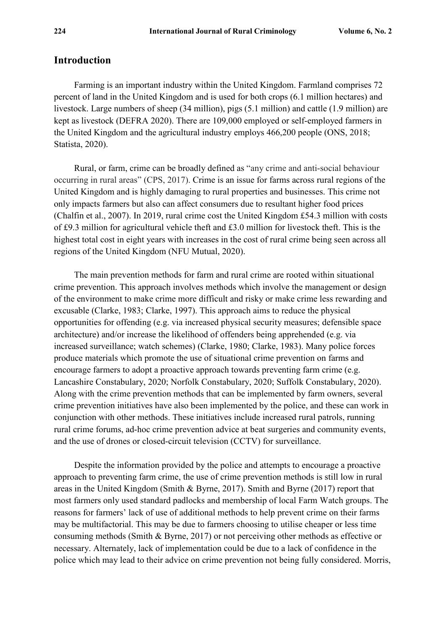### **Introduction**

Farming is an important industry within the United Kingdom. Farmland comprises 72 percent of land in the United Kingdom and is used for both crops (6.1 million hectares) and livestock. Large numbers of sheep (34 million), pigs (5.1 million) and cattle (1.9 million) are kept as livestock (DEFRA 2020). There are 109,000 employed or self-employed farmers in the United Kingdom and the agricultural industry employs 466,200 people (ONS, 2018; Statista, 2020).

Rural, or farm, crime can be broadly defined as "any crime and anti-social behaviour occurring in rural areas" (CPS, 2017). Crime is an issue for farms across rural regions of the United Kingdom and is highly damaging to rural properties and businesses. This crime not only impacts farmers but also can affect consumers due to resultant higher food prices (Chalfin et al., 2007). In 2019, rural crime cost the United Kingdom £54.3 million with costs of £9.3 million for agricultural vehicle theft and £3.0 million for livestock theft. This is the highest total cost in eight years with increases in the cost of rural crime being seen across all regions of the United Kingdom (NFU Mutual, 2020).

The main prevention methods for farm and rural crime are rooted within situational crime prevention. This approach involves methods which involve the management or design of the environment to make crime more difficult and risky or make crime less rewarding and excusable (Clarke, 1983; Clarke, 1997). This approach aims to reduce the physical opportunities for offending (e.g. via increased physical security measures; defensible space architecture) and/or increase the likelihood of offenders being apprehended (e.g. via increased surveillance; watch schemes) (Clarke, 1980; Clarke, 1983). Many police forces produce materials which promote the use of situational crime prevention on farms and encourage farmers to adopt a proactive approach towards preventing farm crime (e.g. Lancashire Constabulary, 2020; Norfolk Constabulary, 2020; Suffolk Constabulary, 2020). Along with the crime prevention methods that can be implemented by farm owners, several crime prevention initiatives have also been implemented by the police, and these can work in conjunction with other methods. These initiatives include increased rural patrols, running rural crime forums, ad-hoc crime prevention advice at beat surgeries and community events, and the use of drones or closed-circuit television (CCTV) for surveillance.

Despite the information provided by the police and attempts to encourage a proactive approach to preventing farm crime, the use of crime prevention methods is still low in rural areas in the United Kingdom (Smith & Byrne, 2017). Smith and Byrne (2017) report that most farmers only used standard padlocks and membership of local Farm Watch groups. The reasons for farmers' lack of use of additional methods to help prevent crime on their farms may be multifactorial. This may be due to farmers choosing to utilise cheaper or less time consuming methods (Smith & Byrne, 2017) or not perceiving other methods as effective or necessary. Alternately, lack of implementation could be due to a lack of confidence in the police which may lead to their advice on crime prevention not being fully considered. Morris,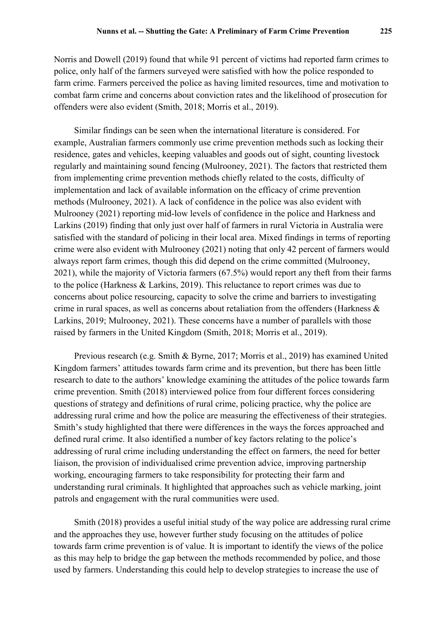Norris and Dowell (2019) found that while 91 percent of victims had reported farm crimes to police, only half of the farmers surveyed were satisfied with how the police responded to farm crime. Farmers perceived the police as having limited resources, time and motivation to combat farm crime and concerns about conviction rates and the likelihood of prosecution for offenders were also evident (Smith, 2018; Morris et al., 2019).

Similar findings can be seen when the international literature is considered. For example, Australian farmers commonly use crime prevention methods such as locking their residence, gates and vehicles, keeping valuables and goods out of sight, counting livestock regularly and maintaining sound fencing (Mulrooney, 2021). The factors that restricted them from implementing crime prevention methods chiefly related to the costs, difficulty of implementation and lack of available information on the efficacy of crime prevention methods (Mulrooney, 2021). A lack of confidence in the police was also evident with Mulrooney (2021) reporting mid-low levels of confidence in the police and Harkness and Larkins (2019) finding that only just over half of farmers in rural Victoria in Australia were satisfied with the standard of policing in their local area. Mixed findings in terms of reporting crime were also evident with Mulrooney (2021) noting that only 42 percent of farmers would always report farm crimes, though this did depend on the crime committed (Mulrooney, 2021), while the majority of Victoria farmers (67.5%) would report any theft from their farms to the police (Harkness & Larkins, 2019). This reluctance to report crimes was due to concerns about police resourcing, capacity to solve the crime and barriers to investigating crime in rural spaces, as well as concerns about retaliation from the offenders (Harkness & Larkins, 2019; Mulrooney, 2021). These concerns have a number of parallels with those raised by farmers in the United Kingdom (Smith, 2018; Morris et al., 2019).

Previous research (e.g. Smith & Byrne, 2017; Morris et al., 2019) has examined United Kingdom farmers' attitudes towards farm crime and its prevention, but there has been little research to date to the authors' knowledge examining the attitudes of the police towards farm crime prevention. Smith (2018) interviewed police from four different forces considering questions of strategy and definitions of rural crime, policing practice, why the police are addressing rural crime and how the police are measuring the effectiveness of their strategies. Smith's study highlighted that there were differences in the ways the forces approached and defined rural crime. It also identified a number of key factors relating to the police's addressing of rural crime including understanding the effect on farmers, the need for better liaison, the provision of individualised crime prevention advice, improving partnership working, encouraging farmers to take responsibility for protecting their farm and understanding rural criminals. It highlighted that approaches such as vehicle marking, joint patrols and engagement with the rural communities were used.

Smith (2018) provides a useful initial study of the way police are addressing rural crime and the approaches they use, however further study focusing on the attitudes of police towards farm crime prevention is of value. It is important to identify the views of the police as this may help to bridge the gap between the methods recommended by police, and those used by farmers. Understanding this could help to develop strategies to increase the use of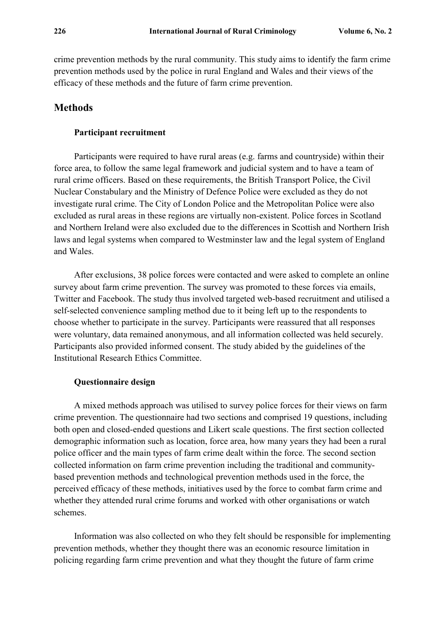crime prevention methods by the rural community. This study aims to identify the farm crime prevention methods used by the police in rural England and Wales and their views of the efficacy of these methods and the future of farm crime prevention.

### **Methods**

#### **Participant recruitment**

Participants were required to have rural areas (e.g. farms and countryside) within their force area, to follow the same legal framework and judicial system and to have a team of rural crime officers. Based on these requirements, the British Transport Police, the Civil Nuclear Constabulary and the Ministry of Defence Police were excluded as they do not investigate rural crime. The City of London Police and the Metropolitan Police were also excluded as rural areas in these regions are virtually non-existent. Police forces in Scotland and Northern Ireland were also excluded due to the differences in Scottish and Northern Irish laws and legal systems when compared to Westminster law and the legal system of England and Wales.

After exclusions, 38 police forces were contacted and were asked to complete an online survey about farm crime prevention. The survey was promoted to these forces via emails, Twitter and Facebook. The study thus involved targeted web-based recruitment and utilised a self-selected convenience sampling method due to it being left up to the respondents to choose whether to participate in the survey. Participants were reassured that all responses were voluntary, data remained anonymous, and all information collected was held securely. Participants also provided informed consent. The study abided by the guidelines of the Institutional Research Ethics Committee.

#### **Questionnaire design**

A mixed methods approach was utilised to survey police forces for their views on farm crime prevention. The questionnaire had two sections and comprised 19 questions, including both open and closed-ended questions and Likert scale questions. The first section collected demographic information such as location, force area, how many years they had been a rural police officer and the main types of farm crime dealt within the force. The second section collected information on farm crime prevention including the traditional and communitybased prevention methods and technological prevention methods used in the force, the perceived efficacy of these methods, initiatives used by the force to combat farm crime and whether they attended rural crime forums and worked with other organisations or watch schemes.

Information was also collected on who they felt should be responsible for implementing prevention methods, whether they thought there was an economic resource limitation in policing regarding farm crime prevention and what they thought the future of farm crime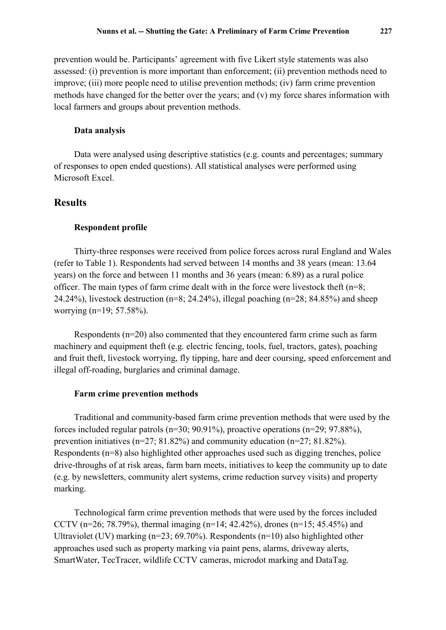prevention would be. Participants' agreement with five Likert style statements was also assessed: (i) prevention is more important than enforcement; (ii) prevention methods need to improve; (iii) more people need to utilise prevention methods; (iv) farm crime prevention methods have changed for the better over the years; and (v) my force shares information with local farmers and groups about prevention methods.

#### **Data analysis**

Data were analysed using descriptive statistics (e.g. counts and percentages; summary of responses to open ended questions). All statistical analyses were performed using Microsoft Excel.

### **Results**

#### **Respondent profile**

Thirty-three responses were received from police forces across rural England and Wales (refer to Table 1). Respondents had served between 14 months and 38 years (mean: 13.64 years) on the force and between 11 months and 36 years (mean: 6.89) as a rural police officer. The main types of farm crime dealt with in the force were livestock theft  $(n=8;$ 24.24%), livestock destruction ( $n=8$ ; 24.24%), illegal poaching ( $n=28$ ; 84.85%) and sheep worrying (n=19; 57.58%).

Respondents (n=20) also commented that they encountered farm crime such as farm machinery and equipment theft (e.g. electric fencing, tools, fuel, tractors, gates), poaching and fruit theft, livestock worrying, fly tipping, hare and deer coursing, speed enforcement and illegal off-roading, burglaries and criminal damage.

#### **Farm crime prevention methods**

Traditional and community-based farm crime prevention methods that were used by the forces included regular patrols (n=30; 90.91%), proactive operations (n=29; 97.88%), prevention initiatives (n=27; 81.82%) and community education (n=27; 81.82%). Respondents (n=8) also highlighted other approaches used such as digging trenches, police drive-throughs of at risk areas, farm barn meets, initiatives to keep the community up to date (e.g. by newsletters, community alert systems, crime reduction survey visits) and property marking.

Technological farm crime prevention methods that were used by the forces included CCTV (n=26; 78.79%), thermal imaging (n=14; 42.42%), drones (n=15; 45.45%) and Ultraviolet (UV) marking (n=23; 69.70%). Respondents (n=10) also highlighted other approaches used such as property marking via paint pens, alarms, driveway alerts, SmartWater, TecTracer, wildlife CCTV cameras, microdot marking and DataTag.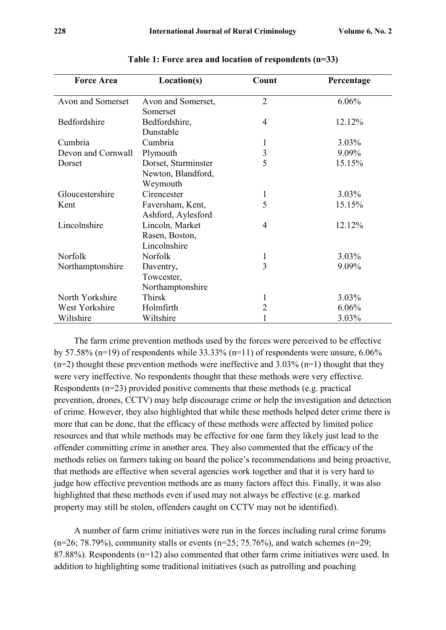| <b>Force Area</b>  | Location(s)                                           | Count          | Percentage |  |
|--------------------|-------------------------------------------------------|----------------|------------|--|
| Avon and Somerset  | $\overline{2}$<br>Avon and Somerset,<br>Somerset      |                | 6.06%      |  |
| Bedfordshire       | Bedfordshire,<br>4<br>Dunstable                       |                | 12.12%     |  |
| Cumbria            | Cumbria                                               | 1              | $3.03\%$   |  |
| Devon and Cornwall | Plymouth                                              | $\mathfrak{Z}$ | 9.09%      |  |
| Dorset             | Dorset, Sturminster<br>Newton, Blandford,<br>Weymouth | 5              | 15.15%     |  |
| Gloucestershire    | Cirencester                                           | $\mathbf{1}$   | $3.03\%$   |  |
| Kent               | Faversham, Kent,<br>Ashford, Aylesford                | 5              | 15.15%     |  |
| Lincolnshire       | Lincoln, Market<br>Rasen, Boston,<br>Lincolnshire     | $\overline{4}$ | 12.12%     |  |
| Norfolk            | Norfolk                                               | $\mathbf{1}$   | 3.03%      |  |
| Northamptonshire   | Daventry,<br>Towcester,<br>Northamptonshire           | $\overline{3}$ | 9.09%      |  |
| North Yorkshire    | Thirsk                                                | 1              | $3.03\%$   |  |
| West Yorkshire     | Holmfirth                                             | $\overline{2}$ | 6.06%      |  |
| Wiltshire          | Wiltshire                                             |                | 3.03%      |  |

**Table 1: Force area and location of respondents (n=33)**

The farm crime prevention methods used by the forces were perceived to be effective by 57.58% (n=19) of respondents while  $33.33\%$  (n=11) of respondents were unsure, 6.06%  $(n=2)$  thought these prevention methods were ineffective and 3.03%  $(n=1)$  thought that they were very ineffective. No respondents thought that these methods were very effective. Respondents (n=23) provided positive comments that these methods (e.g. practical prevention, drones, CCTV) may help discourage crime or help the investigation and detection of crime. However, they also highlighted that while these methods helped deter crime there is more that can be done, that the efficacy of these methods were affected by limited police resources and that while methods may be effective for one farm they likely just lead to the offender committing crime in another area. They also commented that the efficacy of the methods relies on farmers taking on board the police's recommendations and being proactive, that methods are effective when several agencies work together and that it is very hard to judge how effective prevention methods are as many factors affect this. Finally, it was also highlighted that these methods even if used may not always be effective (e.g. marked property may still be stolen, offenders caught on CCTV may not be identified).

A number of farm crime initiatives were run in the forces including rural crime forums  $(n=26; 78.79%)$ , community stalls or events  $(n=25; 75.76%)$ , and watch schemes  $(n=29;$ 87.88%). Respondents (n=12) also commented that other farm crime initiatives were used. In addition to highlighting some traditional initiatives (such as patrolling and poaching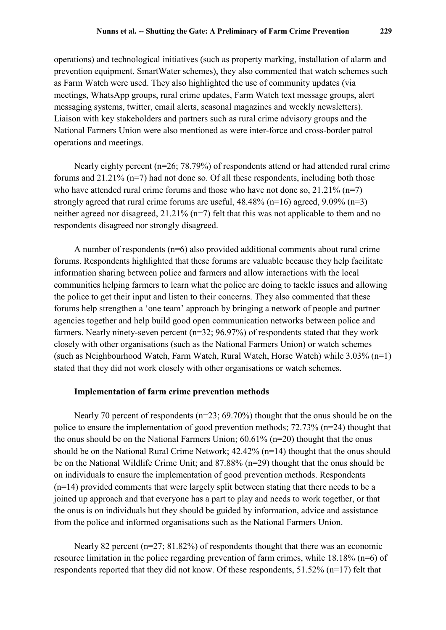operations) and technological initiatives (such as property marking, installation of alarm and prevention equipment, SmartWater schemes), they also commented that watch schemes such as Farm Watch were used. They also highlighted the use of community updates (via meetings, WhatsApp groups, rural crime updates, Farm Watch text message groups, alert messaging systems, twitter, email alerts, seasonal magazines and weekly newsletters). Liaison with key stakeholders and partners such as rural crime advisory groups and the National Farmers Union were also mentioned as were inter-force and cross-border patrol operations and meetings.

Nearly eighty percent  $(n=26; 78.79%)$  of respondents attend or had attended rural crime forums and  $21.21\%$  (n=7) had not done so. Of all these respondents, including both those who have attended rural crime forums and those who have not done so,  $21.21\%$  (n=7) strongly agreed that rural crime forums are useful,  $48.48\%$  (n=16) agreed,  $9.09\%$  (n=3) neither agreed nor disagreed, 21.21% (n=7) felt that this was not applicable to them and no respondents disagreed nor strongly disagreed.

A number of respondents  $(n=6)$  also provided additional comments about rural crime forums. Respondents highlighted that these forums are valuable because they help facilitate information sharing between police and farmers and allow interactions with the local communities helping farmers to learn what the police are doing to tackle issues and allowing the police to get their input and listen to their concerns. They also commented that these forums help strengthen a 'one team' approach by bringing a network of people and partner agencies together and help build good open communication networks between police and farmers. Nearly ninety-seven percent (n=32; 96.97%) of respondents stated that they work closely with other organisations (such as the National Farmers Union) or watch schemes (such as Neighbourhood Watch, Farm Watch, Rural Watch, Horse Watch) while 3.03% (n=1) stated that they did not work closely with other organisations or watch schemes.

#### **Implementation of farm crime prevention methods**

Nearly 70 percent of respondents (n=23; 69.70%) thought that the onus should be on the police to ensure the implementation of good prevention methods; 72.73% (n=24) thought that the onus should be on the National Farmers Union; 60.61% (n=20) thought that the onus should be on the National Rural Crime Network; 42.42% (n=14) thought that the onus should be on the National Wildlife Crime Unit; and 87.88% (n=29) thought that the onus should be on individuals to ensure the implementation of good prevention methods. Respondents (n=14) provided comments that were largely split between stating that there needs to be a joined up approach and that everyone has a part to play and needs to work together, or that the onus is on individuals but they should be guided by information, advice and assistance from the police and informed organisations such as the National Farmers Union.

Nearly 82 percent ( $n=27$ ; 81.82%) of respondents thought that there was an economic resource limitation in the police regarding prevention of farm crimes, while 18.18% (n=6) of respondents reported that they did not know. Of these respondents, 51.52% (n=17) felt that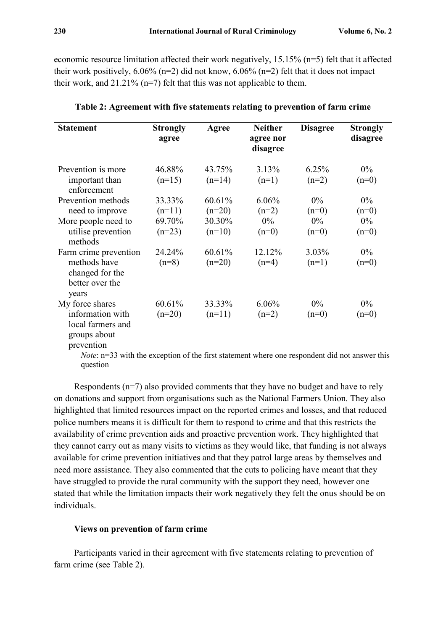economic resource limitation affected their work negatively, 15.15% (n=5) felt that it affected their work positively,  $6.06\%$  (n=2) did not know,  $6.06\%$  (n=2) felt that it does not impact their work, and  $21.21\%$  (n=7) felt that this was not applicable to them.

| <b>Statement</b>                                            | <b>Strongly</b><br>agree | Agree    | <b>Neither</b><br>agree nor<br>disagree | <b>Disagree</b> | <b>Strongly</b><br>disagree |
|-------------------------------------------------------------|--------------------------|----------|-----------------------------------------|-----------------|-----------------------------|
| Prevention is more                                          | 46.88%                   | 43.75%   | 3.13%                                   | 6.25%           | $0\%$                       |
| important than<br>enforcement                               | $(n=15)$                 | $(n=14)$ | $(n=1)$                                 | $(n=2)$         | $(n=0)$                     |
| Prevention methods                                          | 33.33%                   | 60.61%   | $6.06\%$                                | $0\%$           | $0\%$                       |
| need to improve                                             | $(n=11)$                 | $(n=20)$ | $(n=2)$                                 | $(n=0)$         | $(n=0)$                     |
| More people need to                                         | 69.70%                   | 30.30%   | $0\%$                                   | $0\%$           | $0\%$                       |
| utilise prevention<br>methods                               | $(n=23)$                 | $(n=10)$ | $(n=0)$                                 | $(n=0)$         | $(n=0)$                     |
| Farm crime prevention                                       | 24.24%                   | 60.61%   | 12.12%                                  | 3.03%           | $0\%$                       |
| methods have<br>changed for the<br>better over the<br>years | $(n=8)$                  | $(n=20)$ | $(n=4)$                                 | $(n=1)$         | $(n=0)$                     |
| My force shares                                             | 60.61%                   | 33.33%   | 6.06%                                   | $0\%$           | $0\%$                       |
| information with                                            | $(n=20)$                 | $(n=11)$ | $(n=2)$                                 | $(n=0)$         | $(n=0)$                     |
| local farmers and<br>groups about<br>prevention             |                          |          |                                         |                 |                             |

**Table 2: Agreement with five statements relating to prevention of farm crime**

*Note*:  $n=33$  with the exception of the first statement where one respondent did not answer this question

Respondents  $(n=7)$  also provided comments that they have no budget and have to rely on donations and support from organisations such as the National Farmers Union. They also highlighted that limited resources impact on the reported crimes and losses, and that reduced police numbers means it is difficult for them to respond to crime and that this restricts the availability of crime prevention aids and proactive prevention work. They highlighted that they cannot carry out as many visits to victims as they would like, that funding is not always available for crime prevention initiatives and that they patrol large areas by themselves and need more assistance. They also commented that the cuts to policing have meant that they have struggled to provide the rural community with the support they need, however one stated that while the limitation impacts their work negatively they felt the onus should be on individuals.

#### **Views on prevention of farm crime**

Participants varied in their agreement with five statements relating to prevention of farm crime (see Table 2).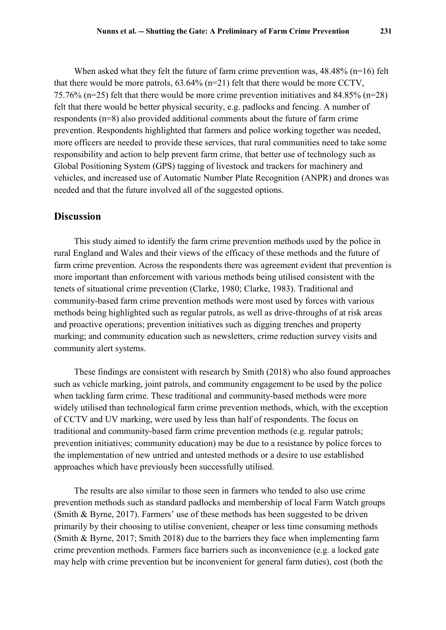When asked what they felt the future of farm crime prevention was,  $48.48\%$  (n=16) felt that there would be more patrols, 63.64% (n=21) felt that there would be more CCTV, 75.76% (n=25) felt that there would be more crime prevention initiatives and 84.85% (n=28) felt that there would be better physical security, e.g. padlocks and fencing. A number of respondents (n=8) also provided additional comments about the future of farm crime prevention. Respondents highlighted that farmers and police working together was needed, more officers are needed to provide these services, that rural communities need to take some responsibility and action to help prevent farm crime, that better use of technology such as Global Positioning System (GPS) tagging of livestock and trackers for machinery and vehicles, and increased use of Automatic Number Plate Recognition (ANPR) and drones was needed and that the future involved all of the suggested options.

### **Discussion**

This study aimed to identify the farm crime prevention methods used by the police in rural England and Wales and their views of the efficacy of these methods and the future of farm crime prevention. Across the respondents there was agreement evident that prevention is more important than enforcement with various methods being utilised consistent with the tenets of situational crime prevention (Clarke, 1980; Clarke, 1983). Traditional and community-based farm crime prevention methods were most used by forces with various methods being highlighted such as regular patrols, as well as drive-throughs of at risk areas and proactive operations; prevention initiatives such as digging trenches and property marking; and community education such as newsletters, crime reduction survey visits and community alert systems.

These findings are consistent with research by Smith (2018) who also found approaches such as vehicle marking, joint patrols, and community engagement to be used by the police when tackling farm crime. These traditional and community-based methods were more widely utilised than technological farm crime prevention methods, which, with the exception of CCTV and UV marking, were used by less than half of respondents. The focus on traditional and community-based farm crime prevention methods (e.g. regular patrols; prevention initiatives; community education) may be due to a resistance by police forces to the implementation of new untried and untested methods or a desire to use established approaches which have previously been successfully utilised.

The results are also similar to those seen in farmers who tended to also use crime prevention methods such as standard padlocks and membership of local Farm Watch groups (Smith & Byrne, 2017). Farmers' use of these methods has been suggested to be driven primarily by their choosing to utilise convenient, cheaper or less time consuming methods (Smith & Byrne, 2017; Smith 2018) due to the barriers they face when implementing farm crime prevention methods. Farmers face barriers such as inconvenience (e.g. a locked gate may help with crime prevention but be inconvenient for general farm duties), cost (both the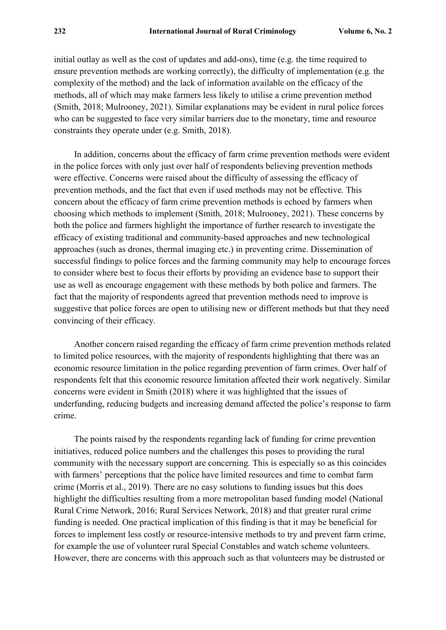initial outlay as well as the cost of updates and add-ons), time (e.g. the time required to ensure prevention methods are working correctly), the difficulty of implementation (e.g. the complexity of the method) and the lack of information available on the efficacy of the methods, all of which may make farmers less likely to utilise a crime prevention method (Smith, 2018; Mulrooney, 2021). Similar explanations may be evident in rural police forces who can be suggested to face very similar barriers due to the monetary, time and resource constraints they operate under (e.g. Smith, 2018).

In addition, concerns about the efficacy of farm crime prevention methods were evident in the police forces with only just over half of respondents believing prevention methods were effective. Concerns were raised about the difficulty of assessing the efficacy of prevention methods, and the fact that even if used methods may not be effective. This concern about the efficacy of farm crime prevention methods is echoed by farmers when choosing which methods to implement (Smith, 2018; Mulrooney, 2021). These concerns by both the police and farmers highlight the importance of further research to investigate the efficacy of existing traditional and community-based approaches and new technological approaches (such as drones, thermal imaging etc.) in preventing crime. Dissemination of successful findings to police forces and the farming community may help to encourage forces to consider where best to focus their efforts by providing an evidence base to support their use as well as encourage engagement with these methods by both police and farmers. The fact that the majority of respondents agreed that prevention methods need to improve is suggestive that police forces are open to utilising new or different methods but that they need convincing of their efficacy.

Another concern raised regarding the efficacy of farm crime prevention methods related to limited police resources, with the majority of respondents highlighting that there was an economic resource limitation in the police regarding prevention of farm crimes. Over half of respondents felt that this economic resource limitation affected their work negatively. Similar concerns were evident in Smith (2018) where it was highlighted that the issues of underfunding, reducing budgets and increasing demand affected the police's response to farm crime.

The points raised by the respondents regarding lack of funding for crime prevention initiatives, reduced police numbers and the challenges this poses to providing the rural community with the necessary support are concerning. This is especially so as this coincides with farmers' perceptions that the police have limited resources and time to combat farm crime (Morris et al., 2019). There are no easy solutions to funding issues but this does highlight the difficulties resulting from a more metropolitan based funding model (National Rural Crime Network, 2016; Rural Services Network, 2018) and that greater rural crime funding is needed. One practical implication of this finding is that it may be beneficial for forces to implement less costly or resource-intensive methods to try and prevent farm crime, for example the use of volunteer rural Special Constables and watch scheme volunteers. However, there are concerns with this approach such as that volunteers may be distrusted or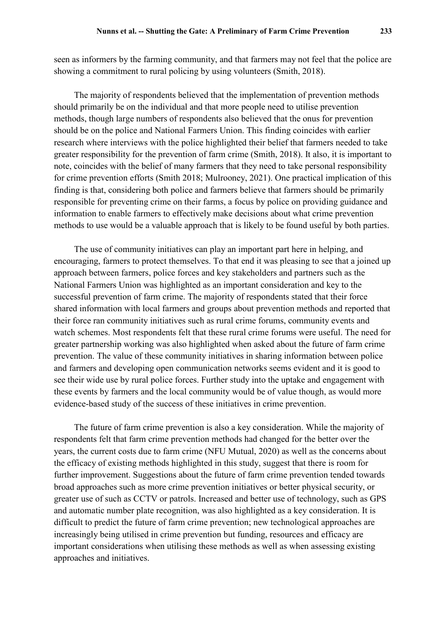seen as informers by the farming community, and that farmers may not feel that the police are showing a commitment to rural policing by using volunteers (Smith, 2018).

The majority of respondents believed that the implementation of prevention methods should primarily be on the individual and that more people need to utilise prevention methods, though large numbers of respondents also believed that the onus for prevention should be on the police and National Farmers Union. This finding coincides with earlier research where interviews with the police highlighted their belief that farmers needed to take greater responsibility for the prevention of farm crime (Smith, 2018). It also, it is important to note, coincides with the belief of many farmers that they need to take personal responsibility for crime prevention efforts (Smith 2018; Mulrooney, 2021). One practical implication of this finding is that, considering both police and farmers believe that farmers should be primarily responsible for preventing crime on their farms, a focus by police on providing guidance and information to enable farmers to effectively make decisions about what crime prevention methods to use would be a valuable approach that is likely to be found useful by both parties.

The use of community initiatives can play an important part here in helping, and encouraging, farmers to protect themselves. To that end it was pleasing to see that a joined up approach between farmers, police forces and key stakeholders and partners such as the National Farmers Union was highlighted as an important consideration and key to the successful prevention of farm crime. The majority of respondents stated that their force shared information with local farmers and groups about prevention methods and reported that their force ran community initiatives such as rural crime forums, community events and watch schemes. Most respondents felt that these rural crime forums were useful. The need for greater partnership working was also highlighted when asked about the future of farm crime prevention. The value of these community initiatives in sharing information between police and farmers and developing open communication networks seems evident and it is good to see their wide use by rural police forces. Further study into the uptake and engagement with these events by farmers and the local community would be of value though, as would more evidence-based study of the success of these initiatives in crime prevention.

The future of farm crime prevention is also a key consideration. While the majority of respondents felt that farm crime prevention methods had changed for the better over the years, the current costs due to farm crime (NFU Mutual, 2020) as well as the concerns about the efficacy of existing methods highlighted in this study, suggest that there is room for further improvement. Suggestions about the future of farm crime prevention tended towards broad approaches such as more crime prevention initiatives or better physical security, or greater use of such as CCTV or patrols. Increased and better use of technology, such as GPS and automatic number plate recognition, was also highlighted as a key consideration. It is difficult to predict the future of farm crime prevention; new technological approaches are increasingly being utilised in crime prevention but funding, resources and efficacy are important considerations when utilising these methods as well as when assessing existing approaches and initiatives.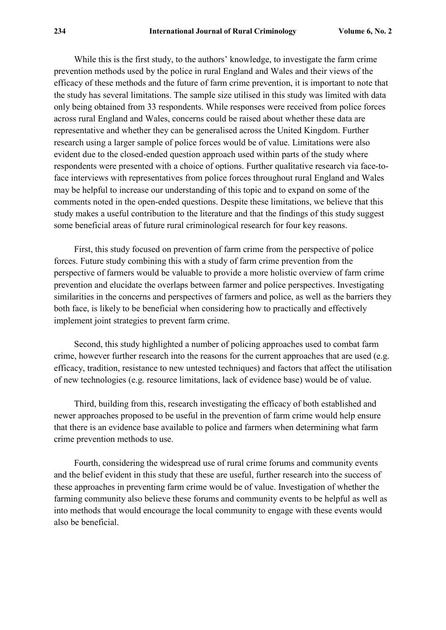While this is the first study, to the authors' knowledge, to investigate the farm crime prevention methods used by the police in rural England and Wales and their views of the efficacy of these methods and the future of farm crime prevention, it is important to note that the study has several limitations. The sample size utilised in this study was limited with data only being obtained from 33 respondents. While responses were received from police forces across rural England and Wales, concerns could be raised about whether these data are representative and whether they can be generalised across the United Kingdom. Further research using a larger sample of police forces would be of value. Limitations were also evident due to the closed-ended question approach used within parts of the study where respondents were presented with a choice of options. Further qualitative research via face-toface interviews with representatives from police forces throughout rural England and Wales may be helpful to increase our understanding of this topic and to expand on some of the comments noted in the open-ended questions. Despite these limitations, we believe that this study makes a useful contribution to the literature and that the findings of this study suggest some beneficial areas of future rural criminological research for four key reasons.

First, this study focused on prevention of farm crime from the perspective of police forces. Future study combining this with a study of farm crime prevention from the perspective of farmers would be valuable to provide a more holistic overview of farm crime prevention and elucidate the overlaps between farmer and police perspectives. Investigating similarities in the concerns and perspectives of farmers and police, as well as the barriers they both face, is likely to be beneficial when considering how to practically and effectively implement joint strategies to prevent farm crime.

Second, this study highlighted a number of policing approaches used to combat farm crime, however further research into the reasons for the current approaches that are used (e.g. efficacy, tradition, resistance to new untested techniques) and factors that affect the utilisation of new technologies (e.g. resource limitations, lack of evidence base) would be of value.

Third, building from this, research investigating the efficacy of both established and newer approaches proposed to be useful in the prevention of farm crime would help ensure that there is an evidence base available to police and farmers when determining what farm crime prevention methods to use.

Fourth, considering the widespread use of rural crime forums and community events and the belief evident in this study that these are useful, further research into the success of these approaches in preventing farm crime would be of value. Investigation of whether the farming community also believe these forums and community events to be helpful as well as into methods that would encourage the local community to engage with these events would also be beneficial.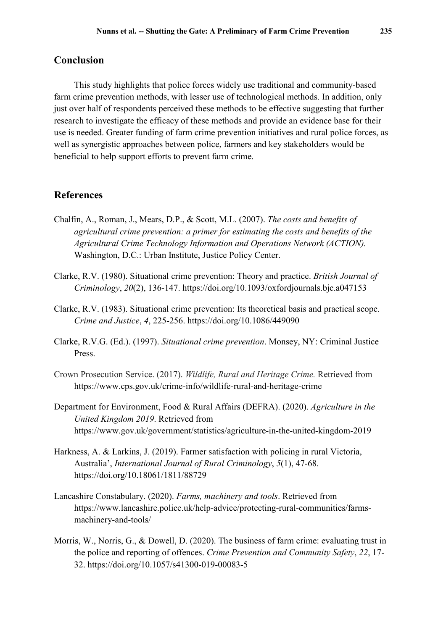### **Conclusion**

This study highlights that police forces widely use traditional and community-based farm crime prevention methods, with lesser use of technological methods. In addition, only just over half of respondents perceived these methods to be effective suggesting that further research to investigate the efficacy of these methods and provide an evidence base for their use is needed. Greater funding of farm crime prevention initiatives and rural police forces, as well as synergistic approaches between police, farmers and key stakeholders would be beneficial to help support efforts to prevent farm crime.

### **References**

- Chalfin, A., Roman, J., Mears, D.P., & Scott, M.L. (2007). *The costs and benefits of agricultural crime prevention: a primer for estimating the costs and benefits of the Agricultural Crime Technology Information and Operations Network (ACTION).* Washington, D.C.: Urban Institute, Justice Policy Center.
- Clarke, R.V. (1980). Situational crime prevention: Theory and practice. *British Journal of Criminology*, *20*(2), 136-147. <https://doi.org/10.1093/oxfordjournals.bjc.a047153>
- Clarke, R.V. (1983). Situational crime prevention: Its theoretical basis and practical scope. *Crime and Justice*, *4*, 225-256.<https://doi.org/10.1086/449090>
- Clarke, R.V.G. (Ed.). (1997). *Situational crime prevention*. Monsey, NY: Criminal Justice Press.
- Crown Prosecution Service. (2017). *Wildlife, Rural and Heritage Crime.* Retrieved from <https://www.cps.gov.uk/crime-info/wildlife-rural-and-heritage-crime>
- Department for Environment, Food & Rural Affairs (DEFRA). (2020). *Agriculture in the United Kingdom 2019*. Retrieved from <https://www.gov.uk/government/statistics/agriculture-in-the-united-kingdom-2019>
- Harkness, A. & Larkins, J. (2019). Farmer satisfaction with policing in rural Victoria, Australia', *International Journal of Rural Criminology*, *5*(1), 47-68. <https://doi.org/10.18061/1811/88729>
- Lancashire Constabulary. (2020). *Farms, machinery and tools*. Retrieved from [https://www.lancashire.police.uk/help-advice/protecting-rural-communities/farms](https://www.lancashire.police.uk/help-advice/protecting-rural-communities/farms-machinery-and-tools/)[machinery-and-tools/](https://www.lancashire.police.uk/help-advice/protecting-rural-communities/farms-machinery-and-tools/)
- Morris, W., Norris, G., & Dowell, D. (2020). The business of farm crime: evaluating trust in the police and reporting of offences. *Crime Prevention and Community Safety*, *22*, 17- 32. <https://doi.org/10.1057/s41300-019-00083-5>